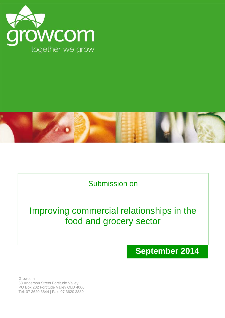



# Submission on

# Improving commercial relationships in the food and grocery sector

**September 2014**

Growcom 68 Anderson Street Fortitude Valley PO Box 202 Fortitude Valley QLD 4006 Tel: 07 3620 3844 | Fax: 07 3620 3880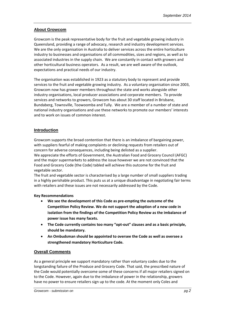## **About Growcom**

Growcom is the peak representative body for the fruit and vegetable growing industry in Queensland, providing a range of advocacy, research and industry development services. We are the only organisation in Australia to deliver services across the entire horticulture industry to businesses and organisations of all commodities, sizes and regions, as well as to associated industries in the supply chain. We are constantly in contact with growers and other horticultural business operators. As a result, we are well aware of the outlook, expectations and practical needs of our industry.

The organisation was established in 1923 as a statutory body to represent and provide services to the fruit and vegetable growing industry. As a voluntary organisation since 2003, Growcom now has grower members throughout the state and works alongside other industry organisations, local producer associations and corporate members. To provide services and networks to growers, Growcom has about 30 staff located in Brisbane, Bundaberg, Townsville, Toowoomba and Tully. We are a member of a number of state and national industry organisations and use these networks to promote our members' interests and to work on issues of common interest.

# **Introduction**

Growcom supports the broad contention that there is an imbalance of bargaining power, with suppliers fearful of making complaints or declining requests from retailers out of concern for adverse consequences, including being delisted as a supplier.

We appreciate the efforts of Government, the Australian Food and Grocery Council (AFGC) and the major supermarkets to address the issue however we are not convinced that the Food and Grocery Code (the Code) tabled will achieve this outcome for the fruit and vegetable sector.

The fruit and vegetable sector is characterised by a large number of small suppliers trading in a highly perishable product. This puts us at a unique disadvantage in negotiating fair terms with retailers and these issues are not necessarily addressed by the Code.

### **Key Recommendations**

- **We see the development of this Code as pre-empting the outcome of the Competition Policy Review. We do not support the adoption of a new code in isolation from the findings of the Competition Policy Review as the imbalance of power issue has many facets.**
- **The Code currently contains too many "opt-out" clauses and as a basic principle, should be mandatory.**
- **An Ombudsman should be appointed to oversee the Code as well as oversee a strengthened mandatory Horticulture Code.**

### **Overall Comments**

As a general principle we support mandatory rather than voluntary codes due to the longstanding failure of the Produce and Grocery Code. That said, the prescribed nature of the Code would potentially overcome some of these concerns if all major retailers signed on to the Code. However, again due to the imbalance of power in the relationship, growers have no power to ensure retailers sign up to the code. At the moment only Coles and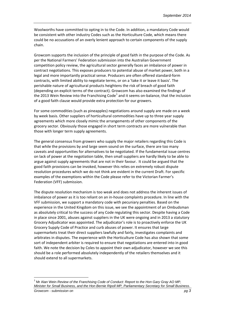Woolworths have committed to opting in to the Code. In addition, a mandatory Code would be consistent with other industry Codes such as the Horticulture Code, which means there could be no accusations of an overly lenient approach to certain components of the supply chain.

Growcom supports the inclusion of the principle of good faith in the purpose of the Code. As per the National Farmers' Federation submission into the Australian Government competition policy review, the agricultural sector generally faces an imbalance of power in contract negotiations. This exposes producers to potential abuse of market power, both in a legal and more importantly practical sense. Producers are often offered standard-form contracts, with limited ability to negotiate terms, or on a 'take it or leave it basis'. The perishable nature of agricultural products heightens the risk of breach of good faith (depending on explicit terms of the contract). Growcom has also examined the findings of the 20[1](#page-2-0)3 Wein Review into the Franchising Code<sup>1</sup> and it seems on-balance, that the inclusion of a good faith clause would provide extra protection for our growers.

For some commodities (such as pineapples) negotiations around supply are made on a week by week basis. Other suppliers of horticultural commodities have up to three year supply agreements which more closely mimic the arrangements of other components of the grocery sector. Obviously those engaged in short term contracts are more vulnerable than those with longer term supply agreements.

The general consensus from growers who supply the major retailers regarding this Code is that while the provisions by and large seem sound on the surface, there are too many caveats and opportunities for alternatives to be negotiated. If the fundamental issue centres on lack of power at the negotiation table, then small suppliers are hardly likely to be able to argue against supply agreements that are not in their favour. It could be argued that the good faith provisions can be invoked, however this relies on extremely robust dispute resolution procedures which we do not think are evident in the current Draft. For specific examples of the exemptions within the Code please refer to the Victorian Farmer's Federation (VFF) submission.

The dispute resolution mechanism is too weak and does not address the inherent issues of imbalance of power as it is too reliant on an in-house complaints procedure. In line with the VFF submission, we support a mandatory code with pecuniary penalties. Based on the experience in the United Kingdom on this issue, we see the appointment of an Ombudsman as absolutely critical to the success of any Code regulating this sector. Despite having a Code in place since 2001, abuses against suppliers in the UK were ongoing and in 2013 a statutory Grocery Adjudicator was appointed. The adjudicator's role is to proactively enforce the UK Grocery Supply Code of Practice and curb abuses of power. It ensures that large supermarkets treat their direct suppliers lawfully and fairly, investigates complaints and arbitrates in disputes. The experience with the Horticulture Code has also shown that some sort of independent arbiter is required to ensure that negotiations are entered into in good faith. We note the decision by Coles to appoint their own adjudicator, however we see this should be a role performed absolutely independently of the retailers themselves and it should extend to all supermarkets.

<span id="page-2-0"></span>*Growcom - submission on pg 3* <sup>1</sup> Mr Alan Wein *Review of the Franchising Code of Conduct: Report to the Hon Gary Gray AO MP, Minister for Small Business, and the Hon Bernie Ripoll MP, Parliamentary Secretary for Small Business*.